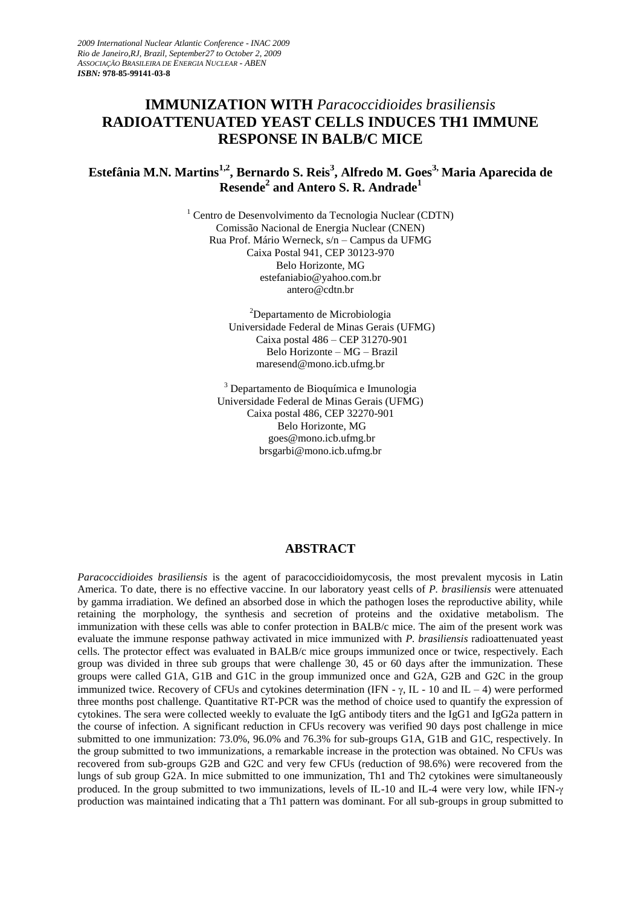# **IMMUNIZATION WITH** *Paracoccidioides brasiliensis* **RADIOATTENUATED YEAST CELLS INDUCES TH1 IMMUNE RESPONSE IN BALB/C MICE**

# **Estefânia M.N. Martins1,2, Bernardo S. Reis<sup>3</sup> , Alfredo M. Goes3, Maria Aparecida de Resende<sup>2</sup> and Antero S. R. Andrade<sup>1</sup>**

<sup>1</sup> Centro de Desenvolvimento da Tecnologia Nuclear (CDTN) Comissão Nacional de Energia Nuclear (CNEN) Rua Prof. Mário Werneck, s/n – Campus da UFMG Caixa Postal 941, CEP 30123-970 Belo Horizonte, MG estefaniabio@yahoo.com.br antero@cdtn.br

> <sup>2</sup>Departamento de Microbiologia Universidade Federal de Minas Gerais (UFMG) Caixa postal 486 – CEP 31270-901 Belo Horizonte – MG – Brazil maresend@mono.icb.ufmg.br

<sup>3</sup> Departamento de Bioquímica e Imunologia Universidade Federal de Minas Gerais (UFMG) Caixa postal 486, CEP 32270-901 Belo Horizonte, MG goes@mono.icb.ufmg.br brsgarbi@mono.icb.ufmg.br

#### **ABSTRACT**

*Paracoccidioides brasiliensis* is the agent of paracoccidioidomycosis, the most prevalent mycosis in Latin America. To date, there is no effective vaccine. In our laboratory yeast cells of *P. brasiliensis* were attenuated by gamma irradiation. We defined an absorbed dose in which the pathogen loses the reproductive ability, while retaining the morphology, the synthesis and secretion of proteins and the oxidative metabolism. The immunization with these cells was able to confer protection in BALB/c mice. The aim of the present work was evaluate the immune response pathway activated in mice immunized with *P. brasiliensis* radioattenuated yeast cells. The protector effect was evaluated in BALB/c mice groups immunized once or twice, respectively. Each group was divided in three sub groups that were challenge 30, 45 or 60 days after the immunization. These groups were called G1A, G1B and G1C in the group immunized once and G2A, G2B and G2C in the group immunized twice. Recovery of CFUs and cytokines determination (IFN -  $\gamma$ , IL - 10 and IL – 4) were performed three months post challenge. Quantitative RT-PCR was the method of choice used to quantify the expression of cytokines. The sera were collected weekly to evaluate the IgG antibody titers and the IgG1 and IgG2a pattern in the course of infection. A significant reduction in CFUs recovery was verified 90 days post challenge in mice submitted to one immunization: 73.0%, 96.0% and 76.3% for sub-groups G1A, G1B and G1C, respectively. In the group submitted to two immunizations, a remarkable increase in the protection was obtained. No CFUs was recovered from sub-groups G2B and G2C and very few CFUs (reduction of 98.6%) were recovered from the lungs of sub group G2A. In mice submitted to one immunization, Th1 and Th2 cytokines were simultaneously produced. In the group submitted to two immunizations, levels of IL-10 and IL-4 were very low, while IFN- $\gamma$ production was maintained indicating that a Th1 pattern was dominant. For all sub-groups in group submitted to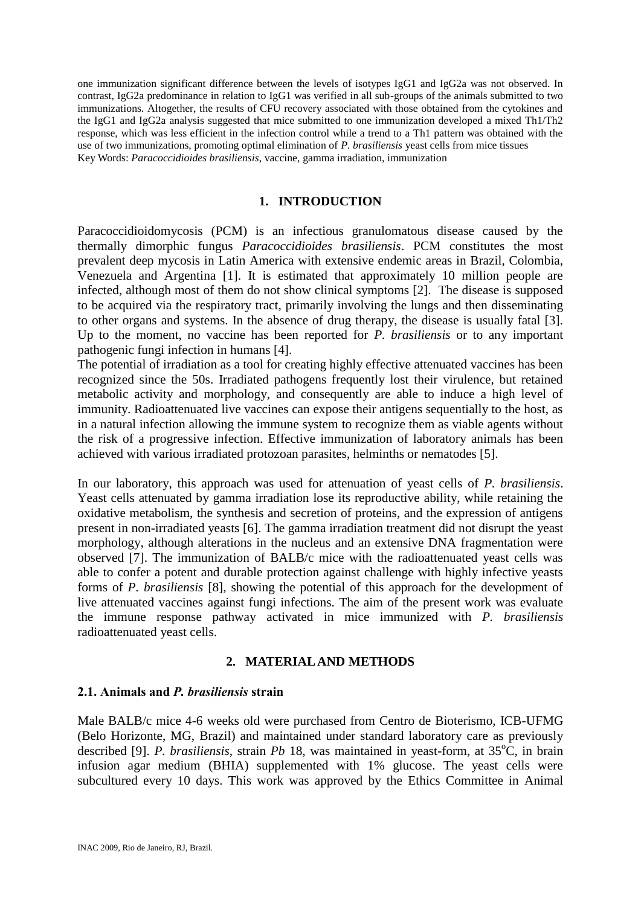one immunization significant difference between the levels of isotypes IgG1 and IgG2a was not observed. In contrast, IgG2a predominance in relation to IgG1 was verified in all sub-groups of the animals submitted to two immunizations. Altogether, the results of CFU recovery associated with those obtained from the cytokines and the IgG1 and IgG2a analysis suggested that mice submitted to one immunization developed a mixed Th1/Th2 response, which was less efficient in the infection control while a trend to a Th1 pattern was obtained with the use of two immunizations, promoting optimal elimination of *P. brasiliensis* yeast cells from mice tissues Key Words: *Paracoccidioides brasiliensis*, vaccine, gamma irradiation, immunization

### **1. INTRODUCTION**

Paracoccidioidomycosis (PCM) is an infectious granulomatous disease caused by the thermally dimorphic fungus *Paracoccidioides brasiliensis*. PCM constitutes the most prevalent deep mycosis in Latin America with extensive endemic areas in Brazil, Colombia, Venezuela and Argentina [1]. It is estimated that approximately 10 million people are infected, although most of them do not show clinical symptoms [2]. The disease is supposed to be acquired via the respiratory tract, primarily involving the lungs and then disseminating to other organs and systems. In the absence of drug therapy, the disease is usually fatal [3]. Up to the moment, no vaccine has been reported for *P. brasiliensis* or to any important pathogenic fungi infection in humans [4].

The potential of irradiation as a tool for creating highly effective attenuated vaccines has been recognized since the 50s. Irradiated pathogens frequently lost their virulence, but retained metabolic activity and morphology, and consequently are able to induce a high level of immunity. Radioattenuated live vaccines can expose their antigens sequentially to the host, as in a natural infection allowing the immune system to recognize them as viable agents without the risk of a progressive infection. Effective immunization of laboratory animals has been achieved with various irradiated protozoan parasites, helminths or nematodes [5].

In our laboratory, this approach was used for attenuation of yeast cells of *P. brasiliensis*. Yeast cells attenuated by gamma irradiation lose its reproductive ability, while retaining the oxidative metabolism, the synthesis and secretion of proteins, and the expression of antigens present in non-irradiated yeasts [6]. The gamma irradiation treatment did not disrupt the yeast morphology, although alterations in the nucleus and an extensive DNA fragmentation were observed [7]. The immunization of BALB/c mice with the radioattenuated yeast cells was able to confer a potent and durable protection against challenge with highly infective yeasts forms of *P. brasiliensis* [8], showing the potential of this approach for the development of live attenuated vaccines against fungi infections. The aim of the present work was evaluate the immune response pathway activated in mice immunized with *P. brasiliensis* radioattenuated yeast cells.

### **2. MATERIAL AND METHODS**

#### **2.1. Animals and** *P. brasiliensis* **strain**

Male BALB/c mice 4-6 weeks old were purchased from Centro de Bioterismo, ICB-UFMG (Belo Horizonte, MG, Brazil) and maintained under standard laboratory care as previously described [9]. *P. brasiliensis*, strain *Pb* 18, was maintained in yeast-form, at  $35^{\circ}$ C, in brain infusion agar medium (BHIA) supplemented with 1% glucose. The yeast cells were subcultured every 10 days. This work was approved by the Ethics Committee in Animal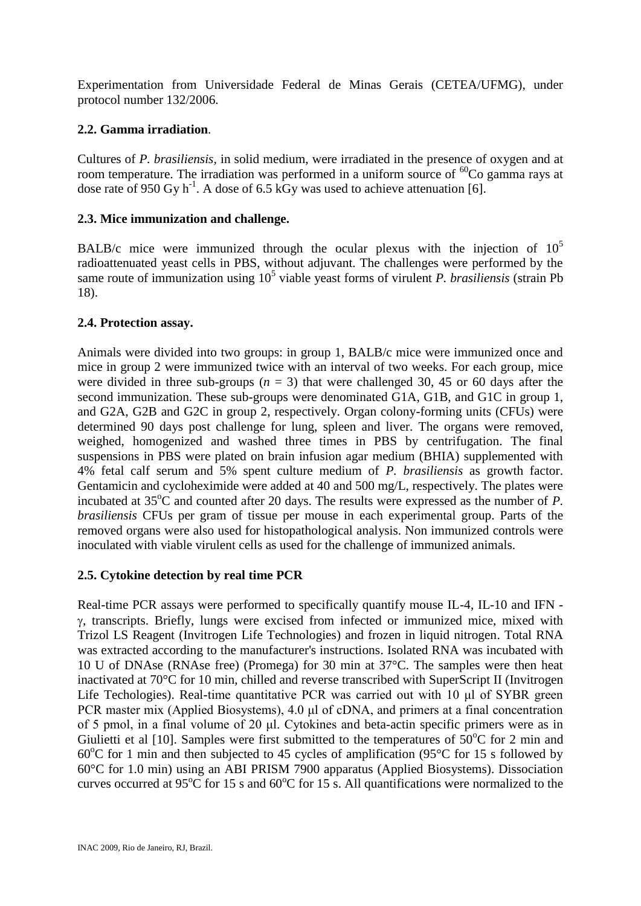Experimentation from Universidade Federal de Minas Gerais (CETEA/UFMG), under protocol number 132/2006.

# **2.2. Gamma irradiation***.*

Cultures of *P. brasiliensis,* in solid medium, were irradiated in the presence of oxygen and at room temperature. The irradiation was performed in a uniform source of  ${}^{60}Co$  gamma rays at dose rate of 950 Gy h<sup>-1</sup>. A dose of 6.5 kGy was used to achieve attenuation [6].

# **2.3. Mice immunization and challenge.**

BALB/c mice were immunized through the ocular plexus with the injection of  $10^5$ radioattenuated yeast cells in PBS, without adjuvant. The challenges were performed by the same route of immunization using 10<sup>5</sup> viable yeast forms of virulent *P. brasiliensis* (strain Pb 18).

## **2.4. Protection assay.**

Animals were divided into two groups: in group 1, BALB/c mice were immunized once and mice in group 2 were immunized twice with an interval of two weeks. For each group, mice were divided in three sub-groups  $(n = 3)$  that were challenged 30, 45 or 60 days after the second immunization. These sub-groups were denominated G1A, G1B, and G1C in group 1, and G2A, G2B and G2C in group 2, respectively. Organ colony-forming units (CFUs) were determined 90 days post challenge for lung, spleen and liver. The organs were removed, weighed, homogenized and washed three times in PBS by centrifugation. The final suspensions in PBS were plated on brain infusion agar medium (BHIA) supplemented with 4% fetal calf serum and 5% spent culture medium of *P. brasiliensis* as growth factor. Gentamicin and cycloheximide were added at 40 and 500 mg/L, respectively. The plates were incubated at  $35^{\circ}$ C and counted after 20 days. The results were expressed as the number of *P*. *brasiliensis* CFUs per gram of tissue per mouse in each experimental group. Parts of the removed organs were also used for histopathological analysis. Non immunized controls were inoculated with viable virulent cells as used for the challenge of immunized animals.

## **2.5. Cytokine detection by real time PCR**

Real-time PCR assays were performed to specifically quantify mouse IL-4, IL-10 and IFN -  $\gamma$ , transcripts. Briefly, lungs were excised from infected or immunized mice, mixed with Trizol LS Reagent (Invitrogen Life Technologies) and frozen in liquid nitrogen. Total RNA was extracted according to the manufacturer's instructions. Isolated RNA was incubated with 10 U of DNAse (RNAse free) (Promega) for 30 min at 37°C. The samples were then heat inactivated at 70°C for 10 min, chilled and reverse transcribed with SuperScript II (Invitrogen Life Techologies). Real-time quantitative PCR was carried out with 10 μl of SYBR green PCR master mix (Applied Biosystems), 4.0 μl of cDNA, and primers at a final concentration of 5 pmol, in a final volume of 20 μl. Cytokines and beta-actin specific primers were as in Giulietti et al [10]. Samples were first submitted to the temperatures of  $50^{\circ}$ C for 2 min and 60 $^{\circ}$ C for 1 min and then subjected to 45 cycles of amplification (95 $^{\circ}$ C for 15 s followed by 60°C for 1.0 min) using an ABI PRISM 7900 apparatus (Applied Biosystems). Dissociation curves occurred at 95 $\rm ^{o}C$  for 15 s and 60 $\rm ^{o}C$  for 15 s. All quantifications were normalized to the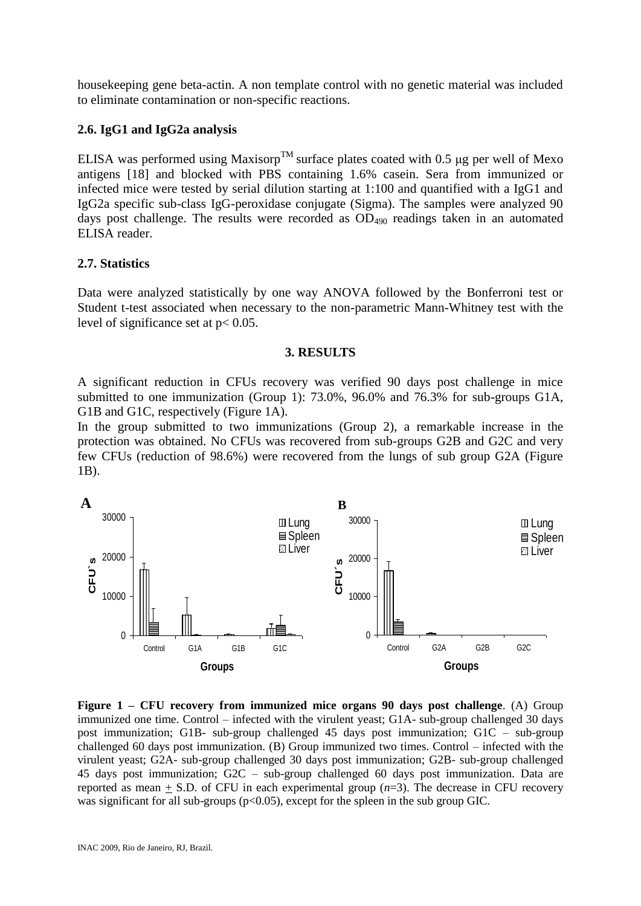housekeeping gene beta-actin. A non template control with no genetic material was included to eliminate contamination or non-specific reactions.

### **2.6. IgG1 and IgG2a analysis**

ELISA was performed using Maxisorp<sup>TM</sup> surface plates coated with 0.5 μg per well of Mexo antigens [18] and blocked with PBS containing 1.6% casein. Sera from immunized or infected mice were tested by serial dilution starting at 1:100 and quantified with a IgG1 and IgG2a specific sub-class IgG-peroxidase conjugate (Sigma). The samples were analyzed 90 days post challenge. The results were recorded as  $OD_{490}$  readings taken in an automated ELISA reader.

#### **2.7. Statistics**

Data were analyzed statistically by one way ANOVA followed by the Bonferroni test or Student t-test associated when necessary to the non-parametric Mann-Whitney test with the level of significance set at p< 0.05.

#### **3. RESULTS**

A significant reduction in CFUs recovery was verified 90 days post challenge in mice submitted to one immunization (Group 1): 73.0%, 96.0% and 76.3% for sub-groups G1A, G1B and G1C, respectively (Figure 1A).

In the group submitted to two immunizations (Group 2), a remarkable increase in the protection was obtained. No CFUs was recovered from sub-groups G2B and G2C and very few CFUs (reduction of 98.6%) were recovered from the lungs of sub group G2A (Figure 1B).



**Figure 1 – CFU recovery from immunized mice organs 90 days post challenge**. (A) Group immunized one time. Control – infected with the virulent yeast; G1A- sub-group challenged 30 days post immunization; G1B- sub-group challenged 45 days post immunization; G1C – sub-group challenged 60 days post immunization. (B) Group immunized two times. Control – infected with the virulent yeast; G2A- sub-group challenged 30 days post immunization; G2B- sub-group challenged 45 days post immunization; G2C – sub-group challenged 60 days post immunization. Data are reported as mean  $+$  S.D. of CFU in each experimental group  $(n=3)$ . The decrease in CFU recovery was significant for all sub-groups ( $p<0.05$ ), except for the spleen in the sub group GIC.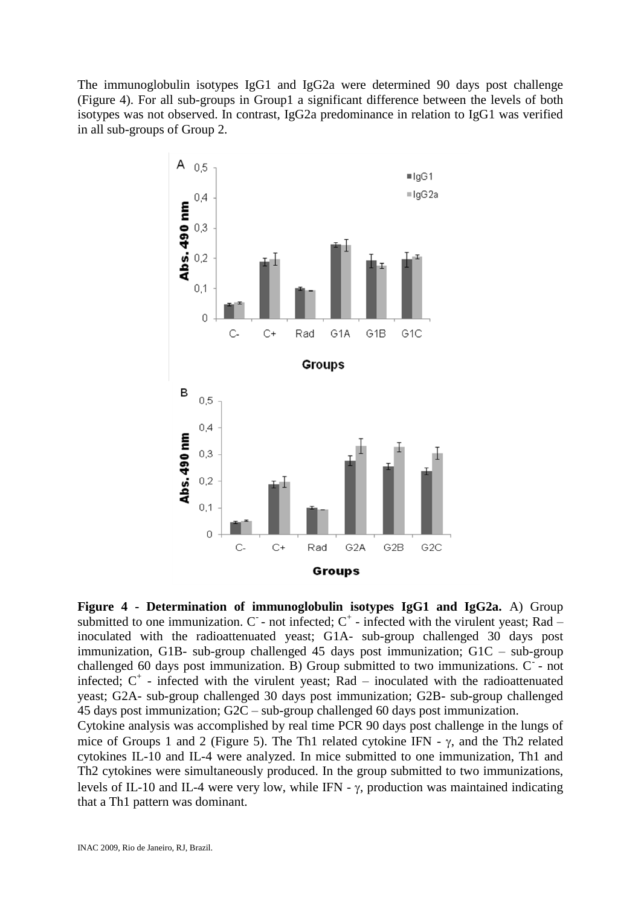The immunoglobulin isotypes IgG1 and IgG2a were determined 90 days post challenge (Figure 4). For all sub-groups in Group1 a significant difference between the levels of both isotypes was not observed. In contrast, IgG2a predominance in relation to IgG1 was verified in all sub-groups of Group 2.



**Figure 4 - Determination of immunoglobulin isotypes IgG1 and IgG2a.** A) Group submitted to one immunization.  $C$  - not infected;  $C^+$  - infected with the virulent yeast; Rad – inoculated with the radioattenuated yeast; G1A- sub-group challenged 30 days post immunization, G1B- sub-group challenged 45 days post immunization; G1C – sub-group challenged 60 days post immunization. B) Group submitted to two immunizations. C - not infected;  $C^+$  - infected with the virulent yeast; Rad – inoculated with the radioattenuated yeast; G2A- sub-group challenged 30 days post immunization; G2B- sub-group challenged 45 days post immunization; G2C – sub-group challenged 60 days post immunization.

Cytokine analysis was accomplished by real time PCR 90 days post challenge in the lungs of mice of Groups 1 and 2 (Figure 5). The Th1 related cytokine IFN -  $\gamma$ , and the Th2 related cytokines IL-10 and IL-4 were analyzed. In mice submitted to one immunization, Th1 and Th2 cytokines were simultaneously produced. In the group submitted to two immunizations, levels of IL-10 and IL-4 were very low, while IFN -  $\gamma$ , production was maintained indicating that a Th1 pattern was dominant.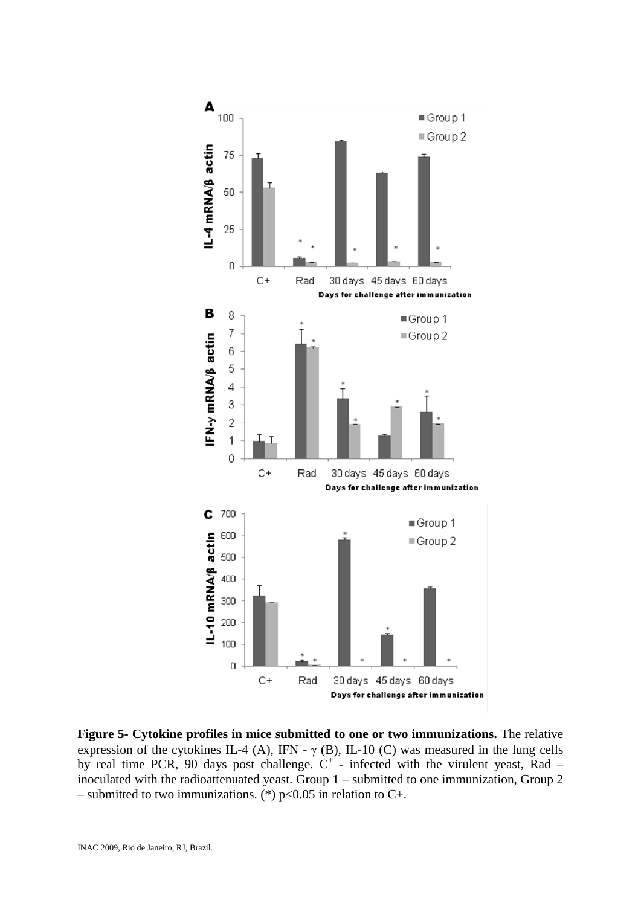

**Figure 5- Cytokine profiles in mice submitted to one or two immunizations.** The relative expression of the cytokines IL-4 (A), IFN -  $\gamma$  (B), IL-10 (C) was measured in the lung cells by real time PCR, 90 days post challenge.  $C^+$  - infected with the virulent yeast, Rad – inoculated with the radioattenuated yeast. Group 1 – submitted to one immunization, Group 2 – submitted to two immunizations. (\*)  $p<0.05$  in relation to C+.